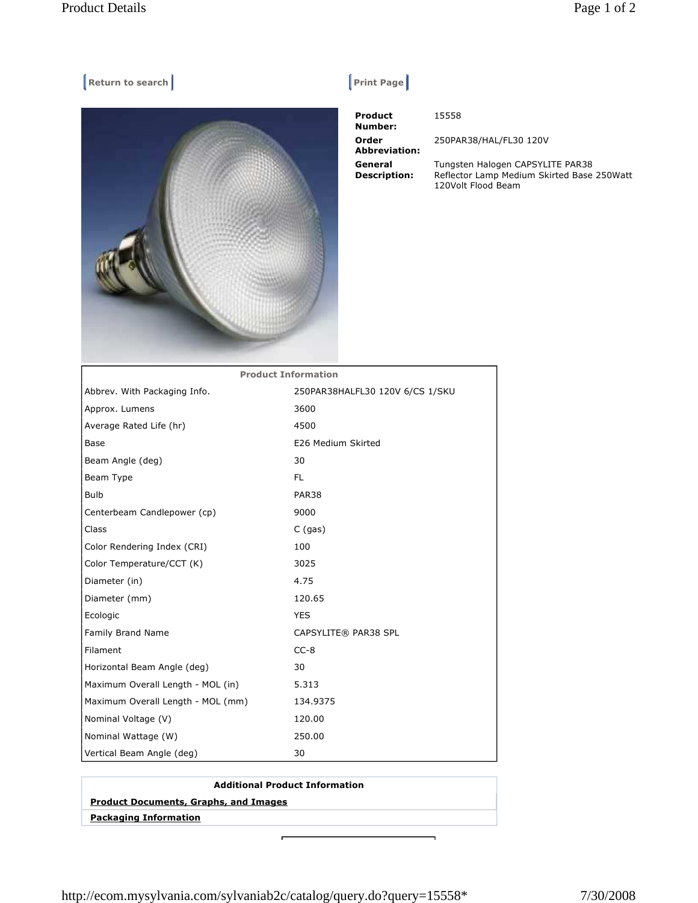## **Return to search Return Construction Construction Construction Construction Construction Construction Construction Construction Construction Construction Construction Construction Construction Construction Construction Co**



| <b>Product</b><br>Number:      | 15558                                                 |
|--------------------------------|-------------------------------------------------------|
| Order<br><b>Abbreviation:</b>  | 250PAR38/HAL/FL30 120V                                |
| General<br><b>Description:</b> | Tungsten Halogen CAPSYLI<br>Reflector Lamp Medium Ski |

Tungsten Halogen CAPSYLITE PAR38 Reflector Lamp Medium Skirted Base 250Watt 120Volt Flood Beam

| <b>Product Information</b>        |                                 |  |
|-----------------------------------|---------------------------------|--|
| Abbrev. With Packaging Info.      | 250PAR38HALFL30 120V 6/CS 1/SKU |  |
| Approx. Lumens                    | 3600                            |  |
| Average Rated Life (hr)           | 4500                            |  |
| Base                              | E26 Medium Skirted              |  |
| Beam Angle (deg)                  | 30                              |  |
| Beam Type                         | FL.                             |  |
| <b>Bulb</b>                       | PAR38                           |  |
| Centerbeam Candlepower (cp)       | 9000                            |  |
| Class                             | $C$ (gas)                       |  |
| Color Rendering Index (CRI)       | 100                             |  |
| Color Temperature/CCT (K)         | 3025                            |  |
| Diameter (in)                     | 4.75                            |  |
| Diameter (mm)                     | 120.65                          |  |
| Ecologic                          | <b>YES</b>                      |  |
| Family Brand Name                 | CAPSYLITE® PAR38 SPL            |  |
| Filament                          | $CC-8$                          |  |
| Horizontal Beam Angle (deg)       | 30                              |  |
| Maximum Overall Length - MOL (in) | 5.313                           |  |
| Maximum Overall Length - MOL (mm) | 134.9375                        |  |
| Nominal Voltage (V)               | 120.00                          |  |
| Nominal Wattage (W)               | 250.00                          |  |
| Vertical Beam Angle (deg)         | 30                              |  |

http://ecom.mysylvania.com/sylvaniab2c/catalog/query.do?query=15558\* 7/30/2008